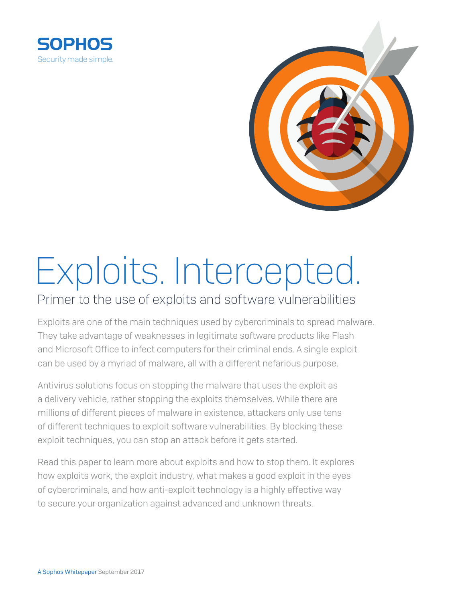



# Exploits. Intercepted.

# Primer to the use of exploits and software vulnerabilities

Exploits are one of the main techniques used by cybercriminals to spread malware. They take advantage of weaknesses in legitimate software products like Flash and Microsoft Office to infect computers for their criminal ends. A single exploit can be used by a myriad of malware, all with a different nefarious purpose.

Antivirus solutions focus on stopping the malware that uses the exploit as a delivery vehicle, rather stopping the exploits themselves. While there are millions of different pieces of malware in existence, attackers only use tens of different techniques to exploit software vulnerabilities. By blocking these exploit techniques, you can stop an attack before it gets started.

Read this paper to learn more about exploits and how to stop them. It explores how exploits work, the exploit industry, what makes a good exploit in the eyes of cybercriminals, and how anti-exploit technology is a highly effective way to secure your organization against advanced and unknown threats.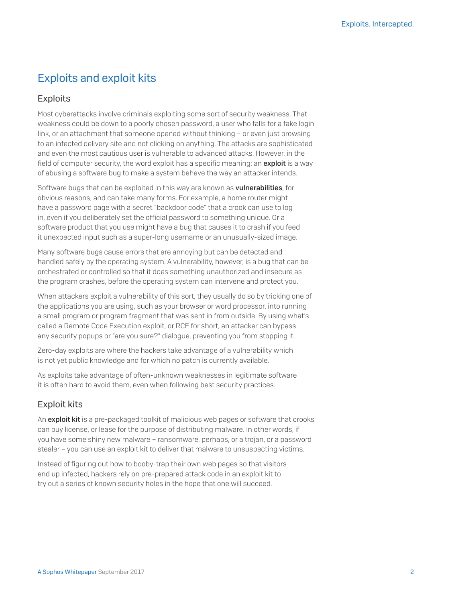# Exploits and exploit kits

#### **Exploits**

Most cyberattacks involve criminals exploiting some sort of security weakness. That weakness could be down to a poorly chosen password, a user who falls for a fake login link, or an attachment that someone opened without thinking – or even just browsing to an infected delivery site and not clicking on anything. The attacks are sophisticated and even the most cautious user is vulnerable to advanced attacks. However, in the field of computer security, the word exploit has a specific meaning: an **exploit** is a way of abusing a software bug to make a system behave the way an attacker intends.

Software bugs that can be exploited in this way are known as **vulnerabilities**, for obvious reasons, and can take many forms. For example, a home router might have a password page with a secret "backdoor code" that a crook can use to log in, even if you deliberately set the official password to something unique. Or a software product that you use might have a bug that causes it to crash if you feed it unexpected input such as a super-long username or an unusually-sized image.

Many software bugs cause errors that are annoying but can be detected and handled safely by the operating system. A vulnerability, however, is a bug that can be orchestrated or controlled so that it does something unauthorized and insecure as the program crashes, before the operating system can intervene and protect you.

When attackers exploit a vulnerability of this sort, they usually do so by tricking one of the applications you are using, such as your browser or word processor, into running a small program or program fragment that was sent in from outside. By using what's called a Remote Code Execution exploit, or RCE for short, an attacker can bypass any security popups or "are you sure?" dialogue, preventing you from stopping it.

Zero-day exploits are where the hackers take advantage of a vulnerability which is not yet public knowledge and for which no patch is currently available.

As exploits take advantage of often-unknown weaknesses in legitimate software it is often hard to avoid them, even when following best security practices.

### Exploit kits

An **exploit kit** is a pre-packaged toolkit of malicious web pages or software that crooks can buy license, or lease for the purpose of distributing malware. In other words, if you have some shiny new malware – ransomware, perhaps, or a trojan, or a password stealer – you can use an exploit kit to deliver that malware to unsuspecting victims.

Instead of figuring out how to booby-trap their own web pages so that visitors end up infected, hackers rely on pre-prepared attack code in an exploit kit to try out a series of known security holes in the hope that one will succeed.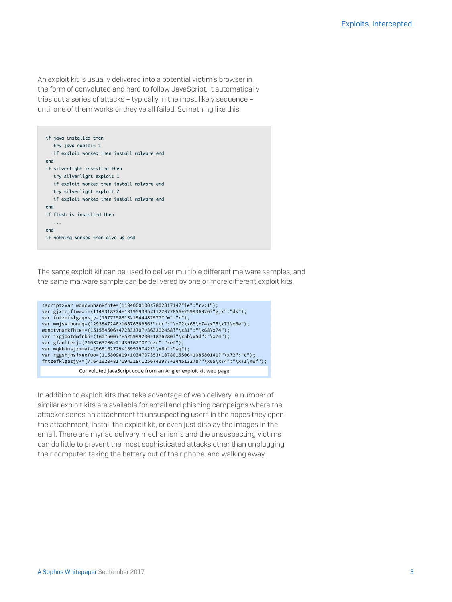An exploit kit is usually delivered into a potential victim's browser in the form of convoluted and hard to follow JavaScript. It automatically tries out a series of attacks – typically in the most likely sequence – until one of them works or they've all failed. Something like this:



The same exploit kit can be used to deliver multiple different malware samples, and the same malware sample can be delivered by one or more different exploit kits.

```
<script>var wgncynhankfhte=(1194000100<780281714?"ie":"rv:1");
var gjxtcjftwwxi=(1149318224+131959385<1122077856+259936926?"gjx":"dk");
var fntzefklgaqvsjy=(1577258313>1944482977?"w":"r");
var wmjsvibonuq=(1293847248>1687638986?"rtr":"\x72\x65\x74\x75\x72\x6e");
wgnctvnankfhte+=(151554506+472333707>363202458?"\x31":"\x68\x74");
var ixgjdotdmfrbi=(160750077+525999200>1876280?"\x5b\x5d":"\x74");
var gfanlterj=(2103263286>2143916270?"czr":"ret");
var wqkbimsjzmmaf=(968162729<189979742?"\x6b":"wq");
var rggshjhsixeofuo=(115809819+1034707353<1078015506+108580141?"\x72":"c");
fntzefklgasjy+=(77641620+817194218<1256743977+344513278?"\x65\x74":"\x71\x6f");
             Convoluted JavaScript code from an Angler exploit kit web page
```
In addition to exploit kits that take advantage of web delivery, a number of similar exploit kits are available for email and phishing campaigns where the attacker sends an attachment to unsuspecting users in the hopes they open the attachment, install the exploit kit, or even just display the images in the email. There are myriad delivery mechanisms and the unsuspecting victims can do little to prevent the most sophisticated attacks other than unplugging their computer, taking the battery out of their phone, and walking away.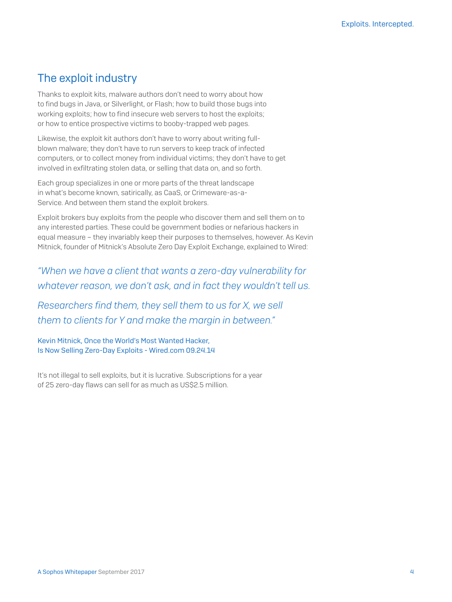# The exploit industry

Thanks to exploit kits, malware authors don't need to worry about how to find bugs in Java, or Silverlight, or Flash; how to build those bugs into working exploits; how to find insecure web servers to host the exploits; or how to entice prospective victims to booby-trapped web pages.

Likewise, the exploit kit authors don't have to worry about writing fullblown malware; they don't have to run servers to keep track of infected computers, or to collect money from individual victims; they don't have to get involved in exfiltrating stolen data, or selling that data on, and so forth.

Each group specializes in one or more parts of the threat landscape in what's become known, satirically, as CaaS, or Crimeware-as-a-Service. And between them stand the exploit brokers.

Exploit brokers buy exploits from the people who discover them and sell them on to any interested parties. These could be government bodies or nefarious hackers in equal measure – they invariably keep their purposes to themselves, however. As Kevin Mitnick, founder of Mitnick's Absolute Zero Day Exploit Exchange, explained to Wired:

*"When we have a client that wants a zero-day vulnerability for whatever reason, we don't ask, and in fact they wouldn't tell us.*

*Researchers find them, they sell them to us for X, we sell them to clients for Y and make the margin in between."*

[Kevin Mitnick, Once the World's Most Wanted Hacker,](https://www.wired.com/2014/09/kevin-mitnick-selling-zero-day-exploits/)  [Is Now Selling Zero-Day Exploits - Wired.com 09.24.14](https://www.wired.com/2014/09/kevin-mitnick-selling-zero-day-exploits/) 

It's not illegal to sell exploits, but it is lucrative. Subscriptions for a year of 25 zero-day flaws can sell for as much as US\$2.5 million.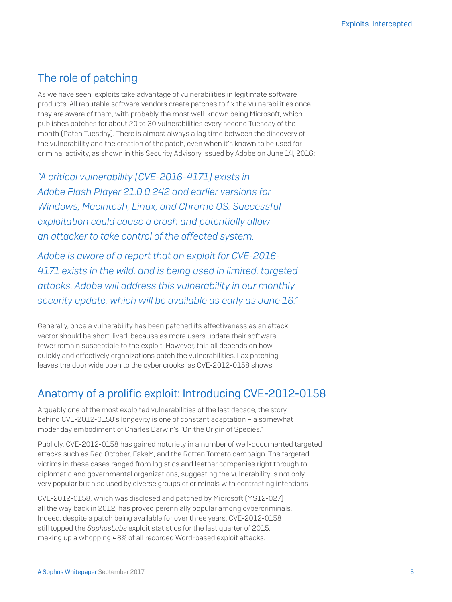# The role of patching

As we have seen, exploits take advantage of vulnerabilities in legitimate software products. All reputable software vendors create patches to fix the vulnerabilities once they are aware of them, with probably the most well-known being Microsoft, which publishes patches for about 20 to 30 vulnerabilities every second Tuesday of the month (Patch Tuesday). There is almost always a lag time between the discovery of the vulnerability and the creation of the patch, even when it's known to be used for criminal activity, as shown in this Security Advisory issued by Adobe on June 14, 2016:

*"A critical vulnerability (CVE-2016-4171) exists in Adobe Flash Player 21.0.0.242 and earlier versions for Windows, Macintosh, Linux, and Chrome OS. Successful exploitation could cause a crash and potentially allow an attacker to take control of the affected system.*

*Adobe is aware of a report that an exploit for CVE-2016- 4171 exists in the wild, and is being used in limited, targeted attacks. Adobe will address this vulnerability in our monthly security update, which will be available as early as June 16."*

Generally, once a vulnerability has been patched its effectiveness as an attack vector should be short-lived, because as more users update their software, fewer remain susceptible to the exploit. However, this all depends on how quickly and effectively organizations patch the vulnerabilities. Lax patching leaves the door wide open to the cyber crooks, as CVE-2012-0158 shows.

## Anatomy of a prolific exploit: Introducing CVE-2012-0158

Arguably one of the most exploited vulnerabilities of the last decade, the story behind CVE-2012-0158's longevity is one of constant adaptation – a somewhat moder day embodiment of Charles Darwin's "On the Origin of Species."

Publicly, CVE-2012-0158 has gained notoriety in a number of well-documented targeted attacks such as Red October, FakeM, and the Rotten Tomato campaign. The targeted victims in these cases ranged from logistics and leather companies right through to diplomatic and governmental organizations, suggesting the vulnerability is not only very popular but also used by diverse groups of criminals with contrasting intentions.

CVE-2012-0158, which was disclosed and patched by Microsoft (MS12-027) all the way back in 2012, has proved perennially popular among cybercriminals. Indeed, despite a patch being available for over three years, CVE-2012-0158 still topped the *SophosLabs* exploit statistics for the last quarter of 2015, making up a whopping 48% of all recorded Word-based exploit attacks.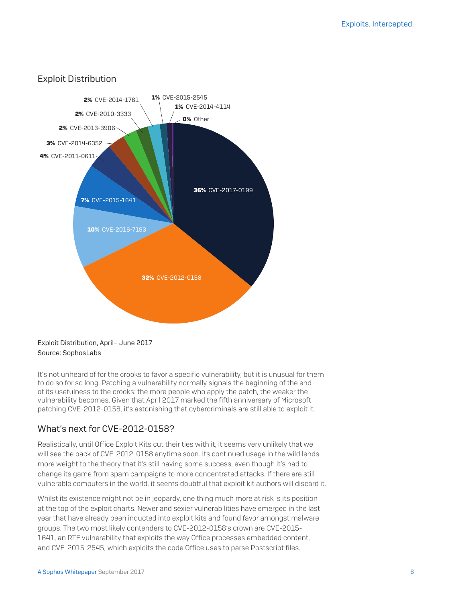

#### Exploit Distribution

Exploit Distribution, April– June 2017 Source: SophosLabs

It's not unheard of for the crooks to favor a specific vulnerability, but it is unusual for them to do so for so long. Patching a vulnerability normally signals the beginning of the end of its usefulness to the crooks: the more people who apply the patch, the weaker the vulnerability becomes. Given that April 2017 marked the fifth anniversary of Microsoft patching CVE-2012-0158, it's astonishing that cybercriminals are still able to exploit it.

#### What's next for CVE-2012-0158?

Realistically, until Office Exploit Kits cut their ties with it, it seems very unlikely that we will see the back of CVE-2012-0158 anytime soon. Its continued usage in the wild lends more weight to the theory that it's still having some success, even though it's had to change its game from spam campaigns to more concentrated attacks. If there are still vulnerable computers in the world, it seems doubtful that exploit kit authors will discard it.

Whilst its existence might not be in jeopardy, one thing much more at risk is its position at the top of the exploit charts. Newer and sexier vulnerabilities have emerged in the last year that have already been inducted into exploit kits and found favor amongst malware groups. The two most likely contenders to CVE-2012-0158's crown are CVE-2015- 1641, an RTF vulnerability that exploits the way Office processes embedded content, and CVE-2015-2545, which exploits the code Office uses to parse Postscript files.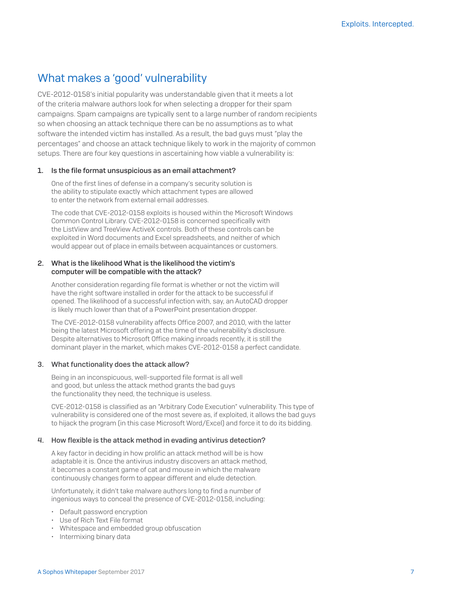# What makes a 'good' vulnerability

CVE-2012-0158's initial popularity was understandable given that it meets a lot of the criteria malware authors look for when selecting a dropper for their spam campaigns. Spam campaigns are typically sent to a large number of random recipients so when choosing an attack technique there can be no assumptions as to what software the intended victim has installed. As a result, the bad guys must "play the percentages" and choose an attack technique likely to work in the majority of common setups. There are four key questions in ascertaining how viable a vulnerability is:

#### 1. Is the file format unsuspicious as an email attachment?

One of the first lines of defense in a company's security solution is the ability to stipulate exactly which attachment types are allowed to enter the network from external email addresses.

The code that CVE-2012-0158 exploits is housed within the Microsoft Windows Common Control Library. CVE-2012-0158 is concerned specifically with the ListView and TreeView ActiveX controls. Both of these controls can be exploited in Word documents and Excel spreadsheets, and neither of which would appear out of place in emails between acquaintances or customers.

#### 2. What is the likelihood What is the likelihood the victim's computer will be compatible with the attack?

Another consideration regarding file format is whether or not the victim will have the right software installed in order for the attack to be successful if opened. The likelihood of a successful infection with, say, an AutoCAD dropper is likely much lower than that of a PowerPoint presentation dropper.

The CVE-2012-0158 vulnerability affects Office 2007, and 2010, with the latter being the latest Microsoft offering at the time of the vulnerability's disclosure. Despite alternatives to Microsoft Office making inroads recently, it is still the dominant player in the market, which makes CVE-2012-0158 a perfect candidate.

#### 3. What functionality does the attack allow?

Being in an inconspicuous, well-supported file format is all well and good, but unless the attack method grants the bad guys the functionality they need, the technique is useless.

CVE-2012-0158 is classified as an "Arbitrary Code Execution" vulnerability. This type of vulnerability is considered one of the most severe as, if exploited, it allows the bad guys to hijack the program (in this case Microsoft Word/Excel) and force it to do its bidding.

#### 4. How flexible is the attack method in evading antivirus detection?

A key factor in deciding in how prolific an attack method will be is how adaptable it is. Once the antivirus industry discovers an attack method, it becomes a constant game of cat and mouse in which the malware continuously changes form to appear different and elude detection.

Unfortunately, it didn't take malware authors long to find a number of ingenious ways to conceal the presence of CVE-2012-0158, including:

- Default password encryption
- Use of Rich Text File format
- Whitespace and embedded group obfuscation
- Intermixing binary data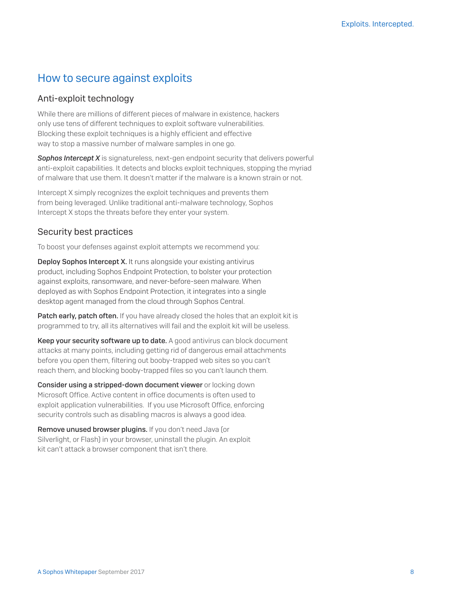## How to secure against exploits

#### Anti-exploit technology

While there are millions of different pieces of malware in existence, hackers only use tens of different techniques to exploit software vulnerabilities. Blocking these exploit techniques is a highly efficient and effective way to stop a massive number of malware samples in one go.

**Sophos Intercept X** is signatureless, next-gen endpoint security that delivers powerful anti-exploit capabilities. It detects and blocks exploit techniques, stopping the myriad of malware that use them. It doesn't matter if the malware is a known strain or not.

Intercept X simply recognizes the exploit techniques and prevents them from being leveraged. Unlike traditional anti-malware technology, Sophos Intercept X stops the threats before they enter your system.

#### Security best practices

To boost your defenses against exploit attempts we recommend you:

Deploy Sophos Intercept X. It runs alongside your existing antivirus product, including Sophos Endpoint Protection, to bolster your protection against exploits, ransomware, and never-before-seen malware. When deployed as with Sophos Endpoint Protection, it integrates into a single desktop agent managed from the cloud through Sophos Central.

Patch early, patch often. If you have already closed the holes that an exploit kit is programmed to try, all its alternatives will fail and the exploit kit will be useless.

Keep your security software up to date. A good antivirus can block document attacks at many points, including getting rid of dangerous email attachments before you open them, filtering out booby-trapped web sites so you can't reach them, and blocking booby-trapped files so you can't launch them.

Consider using a stripped-down document viewer or locking down Microsoft Office. Active content in office documents is often used to exploit application vulnerabilities. If you use Microsoft Office, enforcing security controls such as disabling macros is always a good idea.

Remove unused browser plugins. If you don't need Java (or Silverlight, or Flash) in your browser, uninstall the plugin. An exploit kit can't attack a browser component that isn't there.